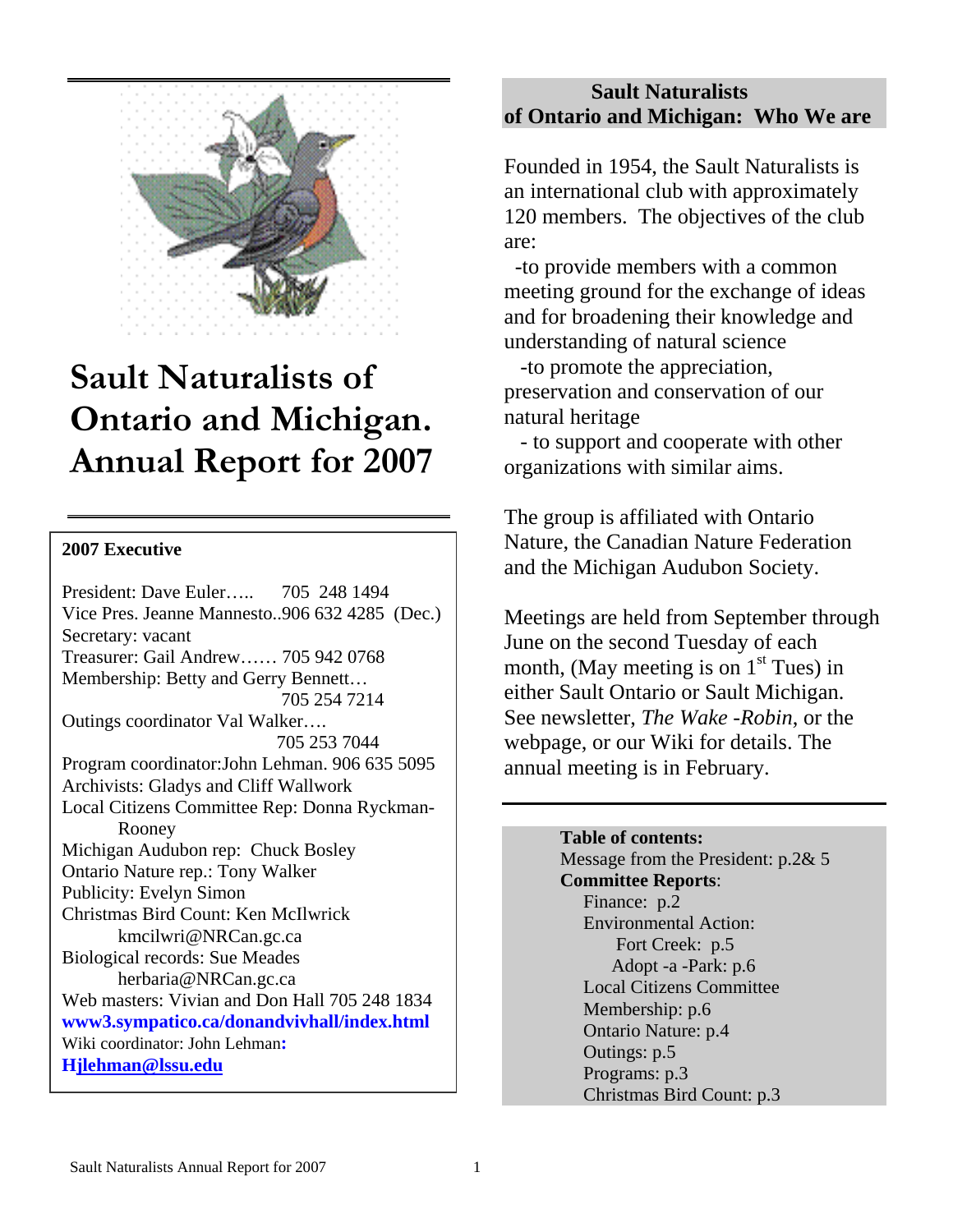

# **Sault Naturalists of Ontario and Michigan. Annual Report for 2007**

#### **2007 Executive**

President: Dave Euler….. 705 248 1494 Vice Pres. Jeanne Mannesto..906 632 4285 (Dec.) Secretary: vacant Treasurer: Gail Andrew…… 705 942 0768 Membership: Betty and Gerry Bennett… 705 254 7214 Outings coordinator Val Walker…. 705 253 7044 Program coordinator:John Lehman. 906 635 5095 Archivists: Gladys and Cliff Wallwork Local Citizens Committee Rep: Donna Ryckman- Rooney Michigan Audubon rep: Chuck Bosley Ontario Nature rep.: Tony Walker Publicity: Evelyn Simon Christmas Bird Count: Ken McIlwrick kmcilwri@NRCan.gc.ca Biological records: Sue Meades herbaria@NRCan.gc.ca Web masters: Vivian and Don Hall 705 248 1834 **www3.sympatico.ca/donandvivhall/index.html**  Wiki coordinator: John Lehman**: H jlehman@lssu.edu**

## **Sault Naturalists of Ontario and Michigan: Who We are**

Founded in 1954, the Sault Naturalists is an international club with approximately 120 members. The objectives of the club are:

 -to provide members with a common meeting ground for the exchange of ideas and for broadening their knowledge and understanding of natural science

 -to promote the appreciation, preservation and conservation of our natural heritage

 - to support and cooperate with other organizations with similar aims.

The group is affiliated with Ontario Nature, the Canadian Nature Federation and the Michigan Audubon Society.

Meetings are held from September through June on the second Tuesday of each month, (May meeting is on  $1<sup>st</sup>$  Tues) in either Sault Ontario or Sault Michigan. See newsletter, *The Wake* -*Robin*, or the webpage, or our Wiki for details. The annual meeting is in February.

> **Table of contents:**  Message from the President: p.2& 5  **Committee Reports**: Finance: p.2 Environmental Action: Fort Creek: p.5 Adopt -a -Park: p.6 Local Citizens Committee Membership: p.6 Ontario Nature: p.4 Outings: p.5 Programs: p.3

Christmas Bird Count: p.3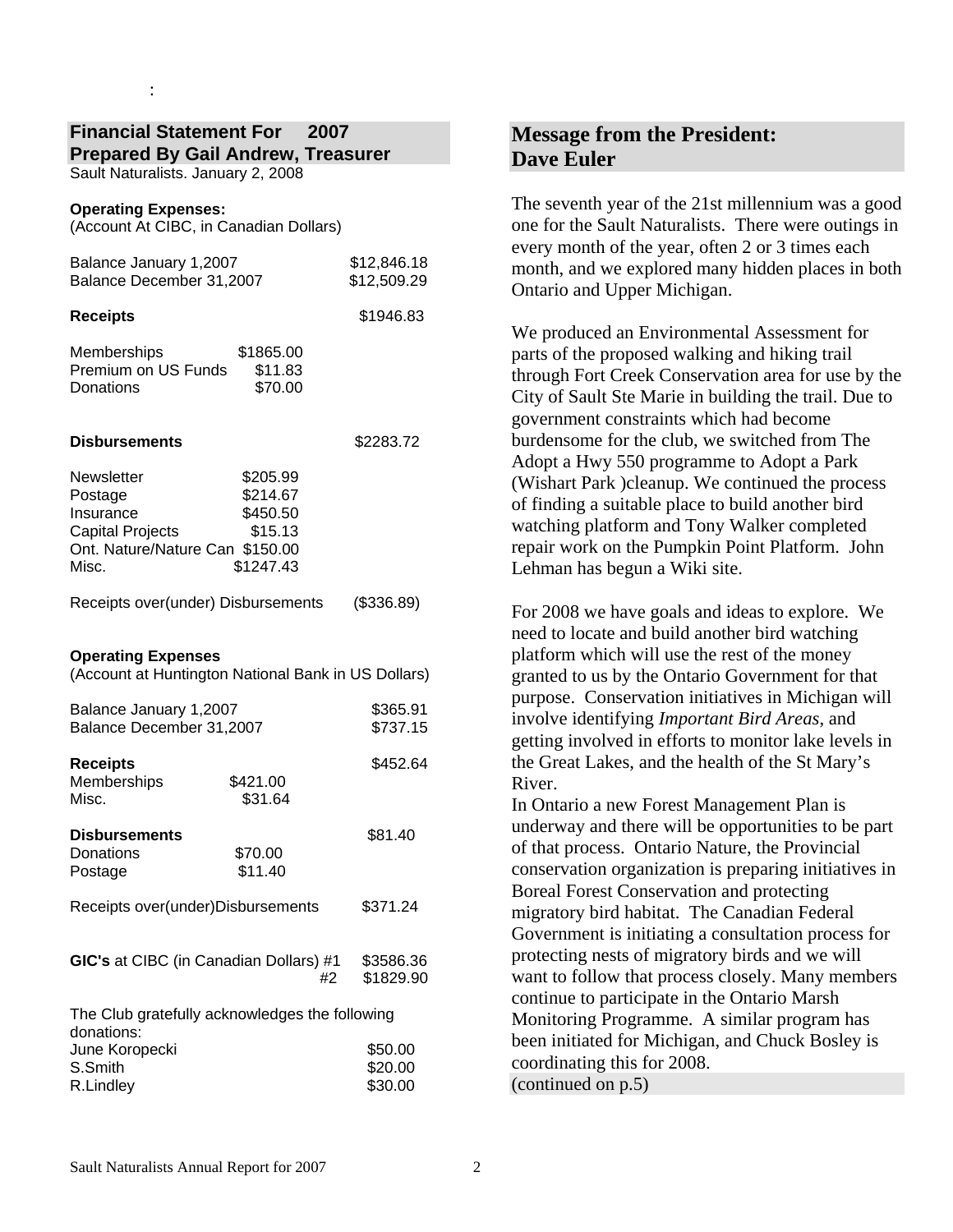#### **Financial Statement For 2007 Prepared By Gail Andrew, Treasurer**

Sault Naturalists. January 2, 2008

#### **Operating Expenses:**

: 100 minutes

(Account At CIBC, in Canadian Dollars)

| Balance January 1,2007<br>Balance December 31,2007                                                        |                                                          | \$12,846.18<br>\$12,509.29    |
|-----------------------------------------------------------------------------------------------------------|----------------------------------------------------------|-------------------------------|
| <b>Receipts</b>                                                                                           |                                                          | \$1946.83                     |
| Memberships<br>Premium on US Funds<br>Donations                                                           | \$1865.00<br>\$11.83<br>\$70.00                          |                               |
| Disbursements                                                                                             |                                                          | \$2283.72                     |
| Newsletter<br>Postage<br>Insurance<br><b>Capital Projects</b><br>Ont. Nature/Nature Can \$150.00<br>Misc. | \$205.99<br>\$214.67<br>\$450.50<br>\$15.13<br>\$1247.43 |                               |
| Receipts over(under) Disbursements                                                                        |                                                          | (\$336.89)                    |
| <b>Operating Expenses</b><br>(Account at Huntington National Bank in US Dollars)                          |                                                          |                               |
| Balance January 1,2007<br>Balance December 31,2007                                                        |                                                          | \$365.91<br>\$737.15          |
| <b>Receipts</b><br>Memberships<br>Misc.                                                                   | \$421.00<br>\$31.64                                      | \$452.64                      |
| <b>Disbursements</b><br>Donations<br>Postage                                                              | \$70.00<br>\$11.40                                       | \$81.40                       |
| Receipts over(under)Disbursements                                                                         |                                                          | \$371.24                      |
| GIC's at CIBC (in Canadian Dollars) #1<br>#2                                                              |                                                          | \$3586.36<br>\$1829.90        |
| The Club gratefully acknowledges the following<br>donations:                                              |                                                          |                               |
| June Koropecki<br>S.Smith<br>R.Lindley                                                                    |                                                          | \$50.00<br>\$20.00<br>\$30.00 |

## **Message from the President: Dave Euler**

The seventh year of the 21st millennium was a good one for the Sault Naturalists. There were outings in every month of the year, often 2 or 3 times each month, and we explored many hidden places in both Ontario and Upper Michigan.

We produced an Environmental Assessment for parts of the proposed walking and hiking trail through Fort Creek Conservation area for use by the City of Sault Ste Marie in building the trail. Due to government constraints which had become burdensome for the club, we switched from The Adopt a Hwy 550 programme to Adopt a Park (Wishart Park )cleanup. We continued the process of finding a suitable place to build another bird watching platform and Tony Walker completed repair work on the Pumpkin Point Platform. John Lehman has begun a Wiki site.

For 2008 we have goals and ideas to explore. We need to locate and build another bird watching platform which will use the rest of the money granted to us by the Ontario Government for that purpose. Conservation initiatives in Michigan will involve identifying *Important Bird Areas*, and getting involved in efforts to monitor lake levels in the Great Lakes, and the health of the St Mary's River.

In Ontario a new Forest Management Plan is underway and there will be opportunities to be part of that process. Ontario Nature, the Provincial conservation organization is preparing initiatives in Boreal Forest Conservation and protecting migratory bird habitat. The Canadian Federal Government is initiating a consultation process for protecting nests of migratory birds and we will want to follow that process closely. Many members continue to participate in the Ontario Marsh Monitoring Programme. A similar program has been initiated for Michigan, and Chuck Bosley is coordinating this for 2008. (continued on p.5)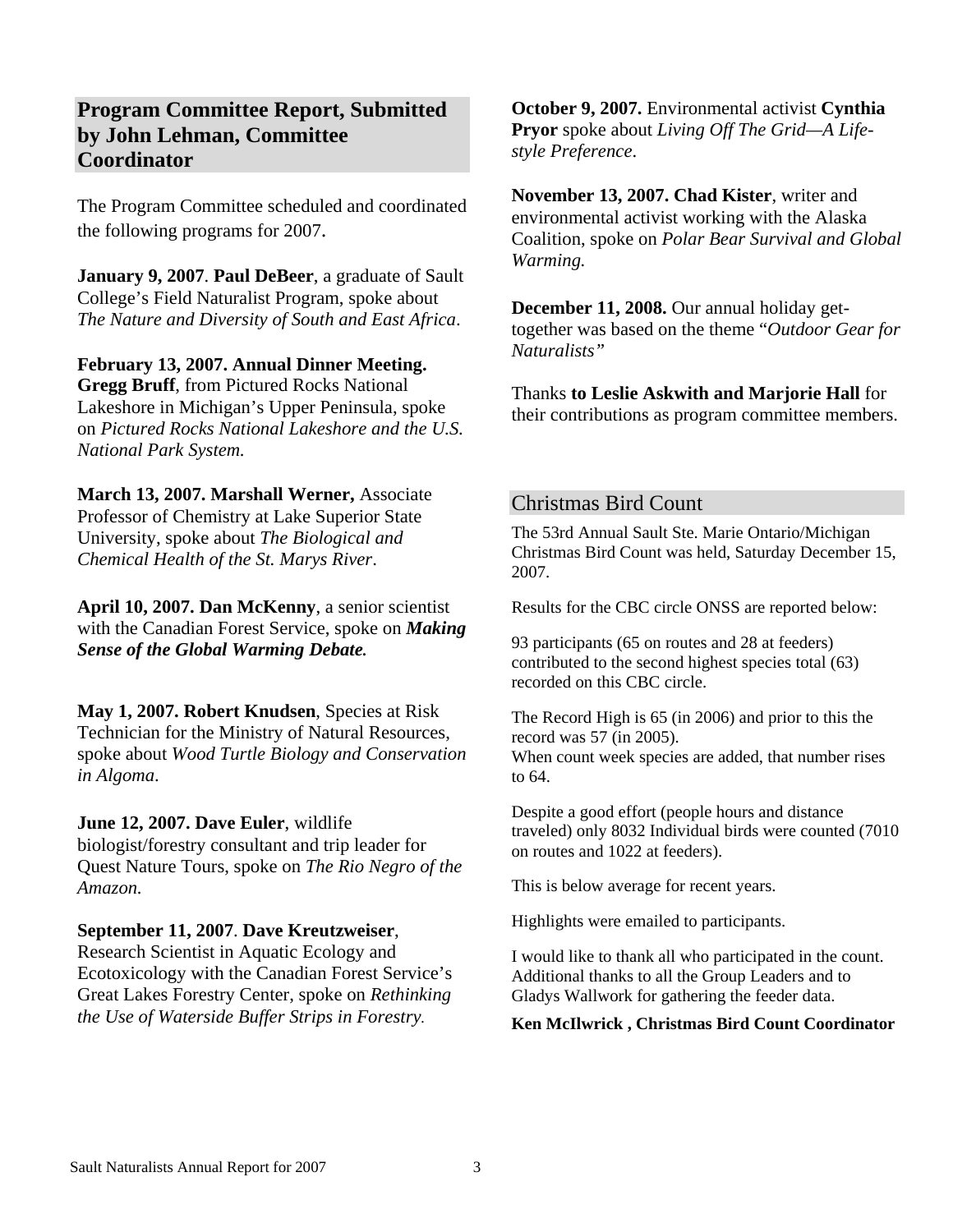## **Program Committee Report, Submitted by John Lehman, Committee Coordinator**

The Program Committee scheduled and coordinated the following programs for 2007.

**January 9, 2007**. **Paul DeBeer**, a graduate of Sault College's Field Naturalist Program, spoke about *The Nature and Diversity of South and East Africa*.

**February 13, 2007. Annual Dinner Meeting. Gregg Bruff**, from Pictured Rocks National Lakeshore in Michigan's Upper Peninsula, spoke on *Pictured Rocks National Lakeshore and the U.S. National Park System.* 

**March 13, 2007. Marshall Werner,** Associate Professor of Chemistry at Lake Superior State University, spoke about *The Biological and Chemical Health of the St. Marys River*.

**April 10, 2007. Dan McKenny**, a senior scientist with the Canadian Forest Service, spoke on *Making Sense of the Global Warming Debate.*

**May 1, 2007. Robert Knudsen**, Species at Risk Technician for the Ministry of Natural Resources, spoke about *Wood Turtle Biology and Conservation in Algoma*.

#### **June 12, 2007. Dave Euler**, wildlife

biologist/forestry consultant and trip leader for Quest Nature Tours, spoke on *The Rio Negro of the Amazon.* 

#### **September 11, 2007**. **Dave Kreutzweiser**,

Research Scientist in Aquatic Ecology and Ecotoxicology with the Canadian Forest Service's Great Lakes Forestry Center, spoke on *Rethinking the Use of Waterside Buffer Strips in Forestry.*

**October 9, 2007.** Environmental activist **Cynthia Pryor** spoke about *Living Off The Grid—A Lifestyle Preference*.

**November 13, 2007. Chad Kister**, writer and environmental activist working with the Alaska Coalition, spoke on *Polar Bear Survival and Global Warming.* 

**December 11, 2008.** Our annual holiday gettogether was based on the theme "*Outdoor Gear for Naturalists"*

Thanks **to Leslie Askwith and Marjorie Hall** for their contributions as program committee members.

#### Christmas Bird Count

The 53rd Annual Sault Ste. Marie Ontario/Michigan Christmas Bird Count was held, Saturday December 15, 2007.

Results for the CBC circle ONSS are reported below:

93 participants (65 on routes and 28 at feeders) contributed to the second highest species total (63) recorded on this CBC circle.

The Record High is 65 (in 2006) and prior to this the record was 57 (in 2005). When count week species are added, that number rises to 64.

Despite a good effort (people hours and distance traveled) only 8032 Individual birds were counted (7010 on routes and 1022 at feeders).

This is below average for recent years.

Highlights were emailed to participants.

I would like to thank all who participated in the count. Additional thanks to all the Group Leaders and to Gladys Wallwork for gathering the feeder data.

**Ken McIlwrick , Christmas Bird Count Coordinator**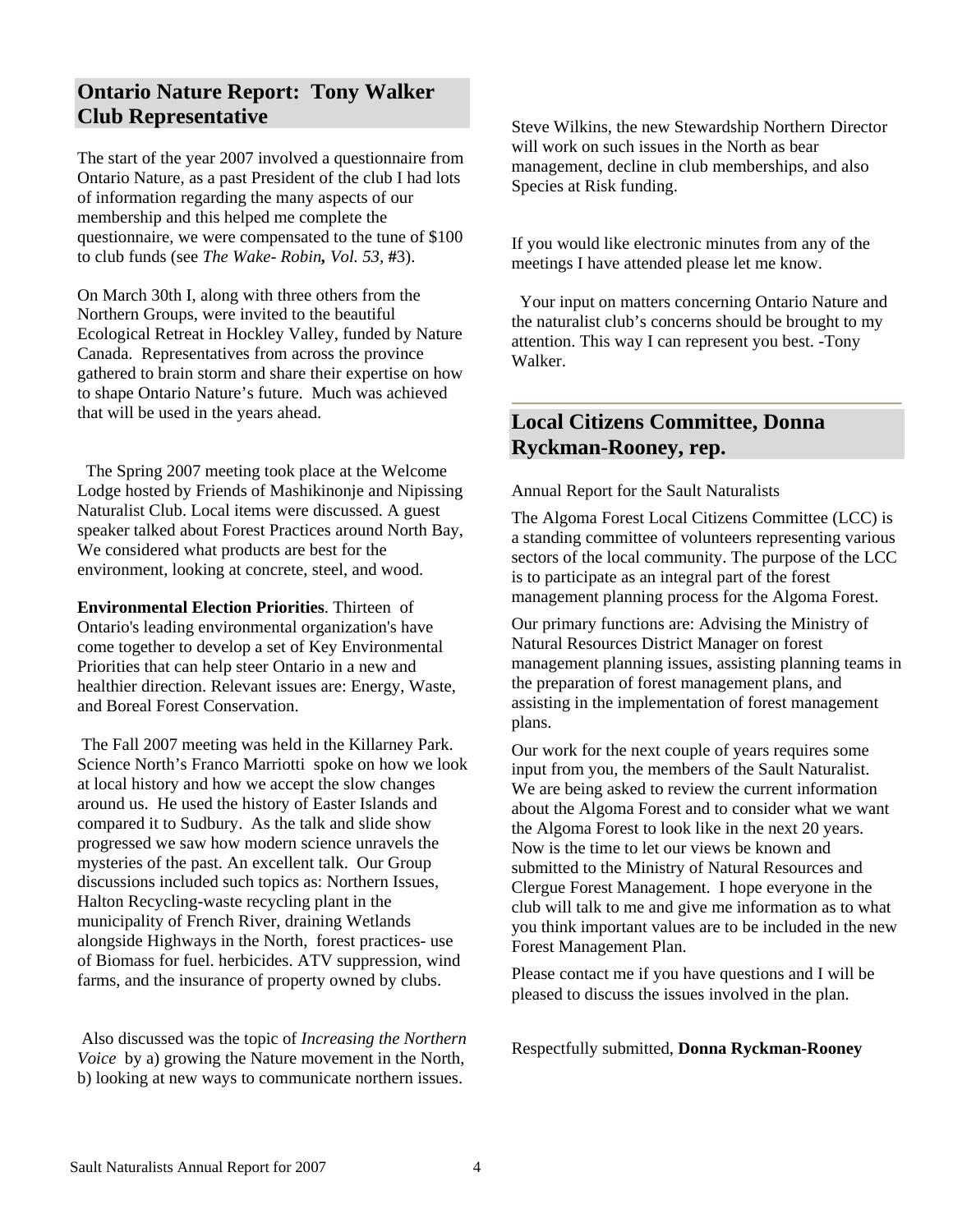## **Ontario Nature Report: Tony Walker Club Representative**

The start of the year 2007 involved a questionnaire from Ontario Nature, as a past President of the club I had lots of information regarding the many aspects of our membership and this helped me complete the questionnaire, we were compensated to the tune of \$100 to club funds (see *The Wake- Robin, Vol. 53,* **#**3).

On March 30th I, along with three others from the Northern Groups, were invited to the beautiful Ecological Retreat in Hockley Valley, funded by Nature Canada. Representatives from across the province gathered to brain storm and share their expertise on how to shape Ontario Nature's future. Much was achieved that will be used in the years ahead.

 The Spring 2007 meeting took place at the Welcome Lodge hosted by Friends of Mashikinonje and Nipissing Naturalist Club. Local items were discussed. A guest speaker talked about Forest Practices around North Bay, We considered what products are best for the environment, looking at concrete, steel, and wood.

**Environmental Election Priorities**. Thirteen of Ontario's leading environmental organization's have come together to develop a set of Key Environmental Priorities that can help steer Ontario in a new and healthier direction. Relevant issues are: Energy, Waste, and Boreal Forest Conservation.

 The Fall 2007 meeting was held in the Killarney Park. Science North's Franco Marriotti spoke on how we look at local history and how we accept the slow changes around us. He used the history of Easter Islands and compared it to Sudbury. As the talk and slide show progressed we saw how modern science unravels the mysteries of the past. An excellent talk. Our Group discussions included such topics as: Northern Issues, Halton Recycling-waste recycling plant in the municipality of French River, draining Wetlands alongside Highways in the North, forest practices- use of Biomass for fuel. herbicides. ATV suppression, wind farms, and the insurance of property owned by clubs.

 Also discussed was the topic of *Increasing the Northern Voice* by a) growing the Nature movement in the North, b) looking at new ways to communicate northern issues.

Steve Wilkins, the new Stewardship Northern Director will work on such issues in the North as bear management, decline in club memberships, and also Species at Risk funding.

If you would like electronic minutes from any of the meetings I have attended please let me know.

 Your input on matters concerning Ontario Nature and the naturalist club's concerns should be brought to my attention. This way I can represent you best. -Tony Walker.

## **Local Citizens Committee, Donna Ryckman-Rooney, rep.**

Annual Report for the Sault Naturalists

The Algoma Forest Local Citizens Committee (LCC) is a standing committee of volunteers representing various sectors of the local community. The purpose of the LCC is to participate as an integral part of the forest management planning process for the Algoma Forest.

Our primary functions are: Advising the Ministry of Natural Resources District Manager on forest management planning issues, assisting planning teams in the preparation of forest management plans, and assisting in the implementation of forest management plans.

Our work for the next couple of years requires some input from you, the members of the Sault Naturalist. We are being asked to review the current information about the Algoma Forest and to consider what we want the Algoma Forest to look like in the next 20 years. Now is the time to let our views be known and submitted to the Ministry of Natural Resources and Clergue Forest Management. I hope everyone in the club will talk to me and give me information as to what you think important values are to be included in the new Forest Management Plan.

Please contact me if you have questions and I will be pleased to discuss the issues involved in the plan.

Respectfully submitted, **Donna Ryckman-Rooney**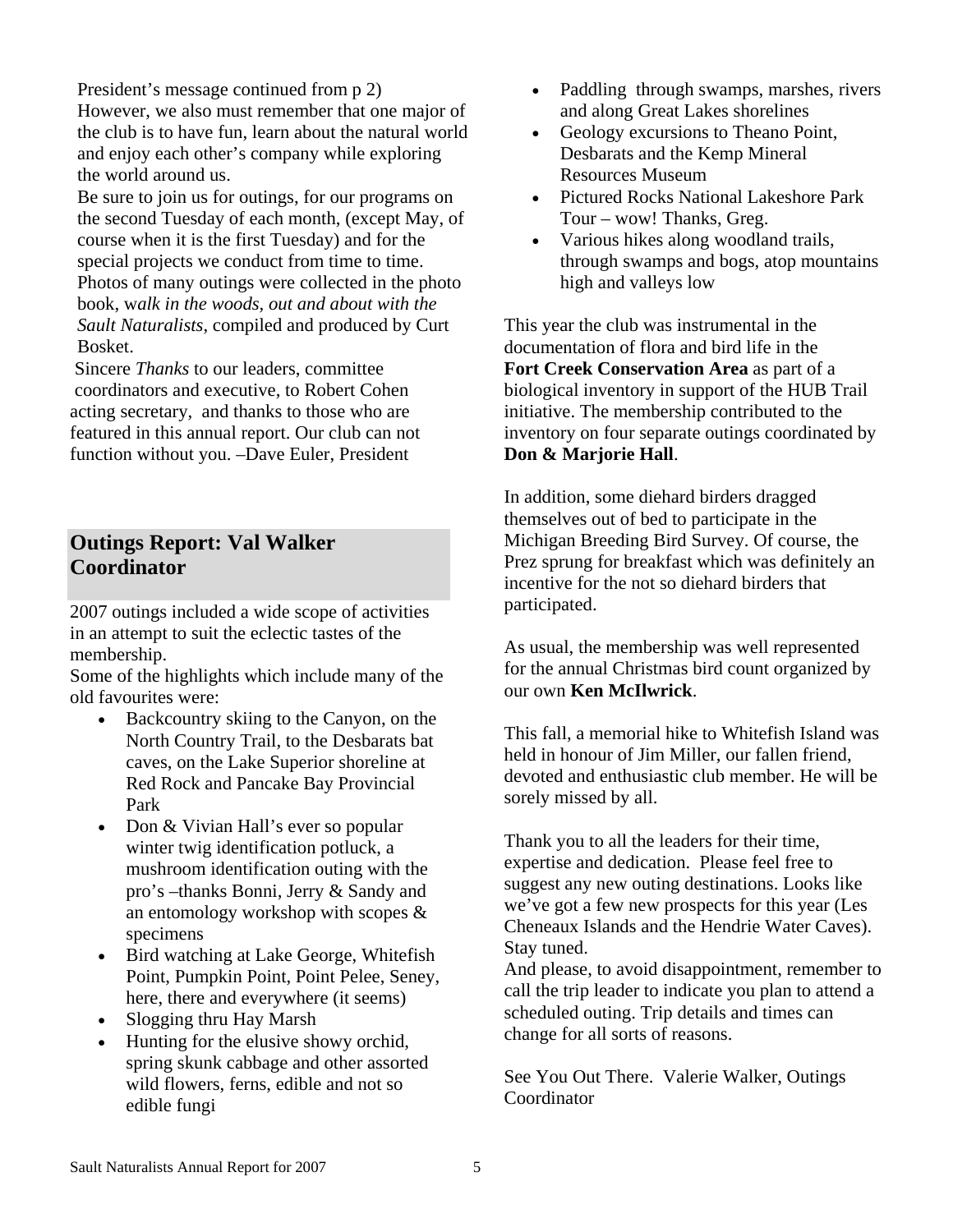President's message continued from p 2) However, we also must remember that one major of the club is to have fun, learn about the natural world and enjoy each other's company while exploring the world around us.

Be sure to join us for outings, for our programs on the second Tuesday of each month, (except May, of course when it is the first Tuesday) and for the special projects we conduct from time to time. Photos of many outings were collected in the photo book, w*alk in the woods, out and about with the Sault Naturalists*, compiled and produced by Curt Bosket.

 Sincere *Thanks* to our leaders, committee coordinators and executive, to Robert Cohen acting secretary, and thanks to those who are featured in this annual report. Our club can not function without you. –Dave Euler, President

## **Outings Report: Val Walker Coordinator**

2007 outings included a wide scope of activities in an attempt to suit the eclectic tastes of the membership.

Some of the highlights which include many of the old favourites were:

- Backcountry skiing to the Canyon, on the North Country Trail, to the Desbarats bat caves, on the Lake Superior shoreline at Red Rock and Pancake Bay Provincial Park
- Don & Vivian Hall's ever so popular winter twig identification potluck, a mushroom identification outing with the pro's –thanks Bonni, Jerry & Sandy and an entomology workshop with scopes & specimens
- Bird watching at Lake George, Whitefish Point, Pumpkin Point, Point Pelee, Seney, here, there and everywhere (it seems)
- Slogging thru Hay Marsh
- Hunting for the elusive showy orchid, spring skunk cabbage and other assorted wild flowers, ferns, edible and not so edible fungi
- Paddling through swamps, marshes, rivers and along Great Lakes shorelines
- Geology excursions to Theano Point, Desbarats and the Kemp Mineral Resources Museum
- Pictured Rocks National Lakeshore Park Tour – wow! Thanks, Greg.
- Various hikes along woodland trails, through swamps and bogs, atop mountains high and valleys low

This year the club was instrumental in the documentation of flora and bird life in the **Fort Creek Conservation Area** as part of a biological inventory in support of the HUB Trail initiative. The membership contributed to the inventory on four separate outings coordinated by **Don & Marjorie Hall**.

In addition, some diehard birders dragged themselves out of bed to participate in the Michigan Breeding Bird Survey. Of course, the Prez sprung for breakfast which was definitely an incentive for the not so diehard birders that participated.

As usual, the membership was well represented for the annual Christmas bird count organized by our own **Ken McIlwrick**.

This fall, a memorial hike to Whitefish Island was held in honour of Jim Miller, our fallen friend, devoted and enthusiastic club member. He will be sorely missed by all.

Thank you to all the leaders for their time, expertise and dedication. Please feel free to suggest any new outing destinations. Looks like we've got a few new prospects for this year (Les Cheneaux Islands and the Hendrie Water Caves). Stay tuned.

And please, to avoid disappointment, remember to call the trip leader to indicate you plan to attend a scheduled outing. Trip details and times can change for all sorts of reasons.

See You Out There. Valerie Walker, Outings Coordinator